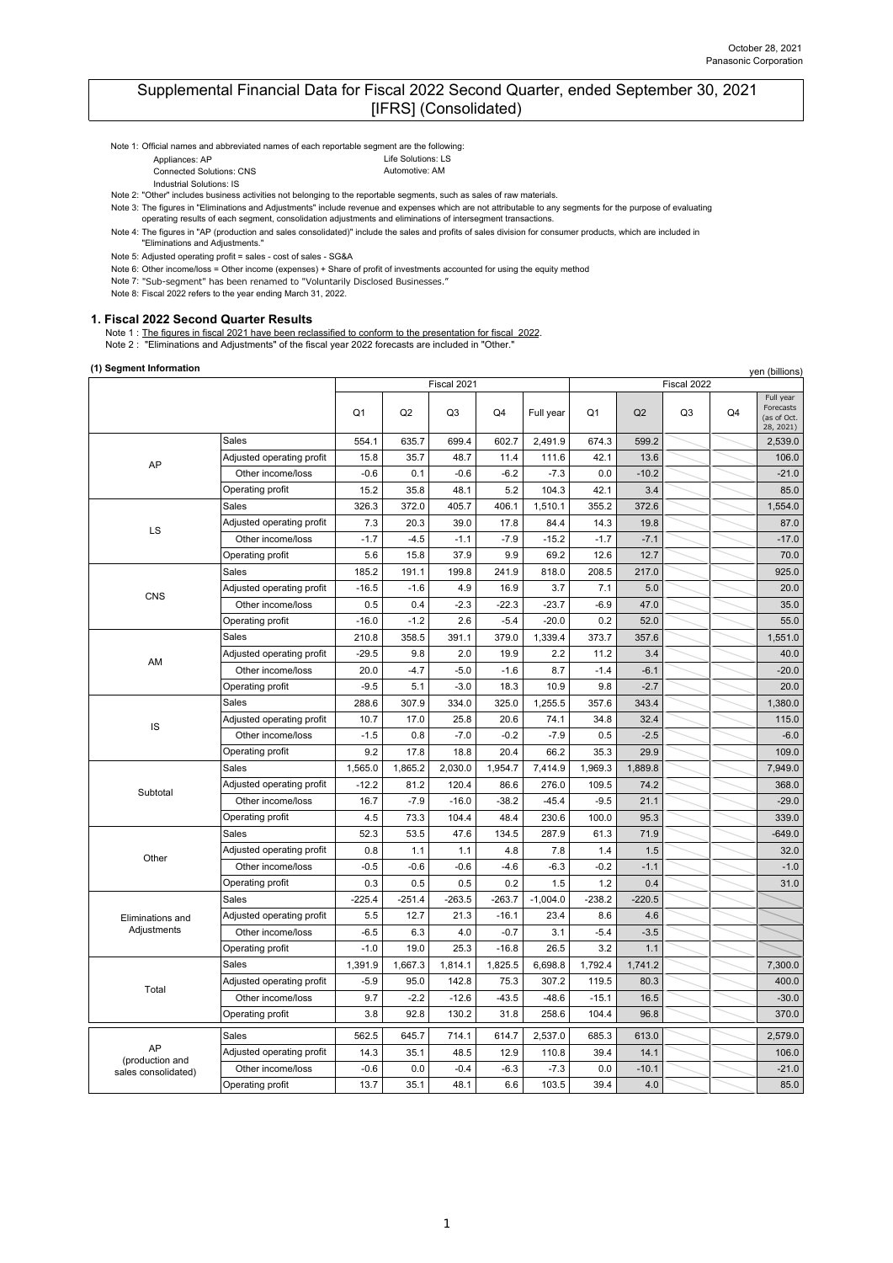## Supplemental Financial Data for Fiscal 2022 Second Quarter, ended September 30, 2021 [IFRS] (Consolidated)

Note 1: Official names and abbreviated names of each reportable segment are the following:

- Appliances: AP Life Solutions: LS
- **Connected Solutions: CNS** Automotive: AM
- Industrial Solutions: IS

Note 2: "Other" includes business activities not belonging to the reportable segments, such as sales of raw materials.

Note 3: The figures in "Eliminations and Adjustments" include revenue and expenses which are not attributable to any segments for the purpose of evaluating

operating results of each segment, consolidation adjustments and eliminations of intersegment transactions.

"Eliminations and Adjustments."

Note 5: Adjusted operating profit = sales - cost of sales - SG&A

Note 6: Other income/loss = Other income (expenses) + Share of profit of investments accounted for using the equity method

Note 7: "Sub-segment" has been renamed to "Voluntarily Disclosed Businesses."

Note 8: Fiscal 2022 refers to the year ending March 31, 2022.

### **1. Fiscal 2022 Second Quarter Results**

Note 1 : The figures in fiscal 2021 have been reclassified to conform to the presentation for fiscal 2022.

Note 2 : "Eliminations and Adjustments" of the fiscal year 2022 forecasts are included in "Other."

## **(1) Segment Information**

| (1) Segment Information |                           |          |          |                |          |            |          |                |                |    | yen (billions)                                     |
|-------------------------|---------------------------|----------|----------|----------------|----------|------------|----------|----------------|----------------|----|----------------------------------------------------|
|                         |                           |          |          | Fiscal 2021    |          |            |          |                | Fiscal 2022    |    |                                                    |
|                         |                           | Q1       | Q2       | Q <sub>3</sub> | Q4       | Full year  | Q1       | Q <sub>2</sub> | Q <sub>3</sub> | Q4 | Full year<br>Forecasts<br>(as of Oct.<br>28, 2021) |
|                         | Sales                     | 554.1    | 635.7    | 699.4          | 602.7    | 2,491.9    | 674.3    | 599.2          |                |    | 2,539.0                                            |
| AP                      | Adjusted operating profit | 15.8     | 35.7     | 48.7           | 11.4     | 111.6      | 42.1     | 13.6           |                |    | 106.0                                              |
|                         | Other income/loss         | $-0.6$   | 0.1      | $-0.6$         | $-6.2$   | $-7.3$     | 0.0      | $-10.2$        |                |    | $-21.0$                                            |
|                         | Operating profit          | 15.2     | 35.8     | 48.1           | 5.2      | 104.3      | 42.1     | 3.4            |                |    | 85.0                                               |
|                         | Sales                     | 326.3    | 372.0    | 405.7          | 406.1    | 1,510.1    | 355.2    | 372.6          |                |    | 1,554.0                                            |
| LS                      | Adjusted operating profit | 7.3      | 20.3     | 39.0           | 17.8     | 84.4       | 14.3     | 19.8           |                |    | 87.0                                               |
|                         | Other income/loss         | $-1.7$   | $-4.5$   | $-1.1$         | $-7.9$   | $-15.2$    | $-1.7$   | $-7.1$         |                |    | $-17.0$                                            |
|                         | Operating profit          | 5.6      | 15.8     | 37.9           | 9.9      | 69.2       | 12.6     | 12.7           |                |    | 70.0                                               |
|                         | Sales                     | 185.2    | 191.1    | 199.8          | 241.9    | 818.0      | 208.5    | 217.0          |                |    | 925.0                                              |
| CNS                     | Adjusted operating profit | $-16.5$  | $-1.6$   | 4.9            | 16.9     | 3.7        | 7.1      | 5.0            |                |    | 20.0                                               |
|                         | Other income/loss         | 0.5      | 0.4      | $-2.3$         | $-22.3$  | $-23.7$    | $-6.9$   | 47.0           |                |    | 35.0                                               |
|                         | Operating profit          | $-16.0$  | $-1.2$   | 2.6            | $-5.4$   | $-20.0$    | 0.2      | 52.0           |                |    | 55.0                                               |
|                         | Sales                     | 210.8    | 358.5    | 391.1          | 379.0    | 1,339.4    | 373.7    | 357.6          |                |    | 1,551.0                                            |
| AM                      | Adjusted operating profit | $-29.5$  | 9.8      | 2.0            | 19.9     | 2.2        | 11.2     | 3.4            |                |    | 40.0                                               |
|                         | Other income/loss         | 20.0     | $-4.7$   | $-5.0$         | $-1.6$   | 8.7        | $-1.4$   | $-6.1$         |                |    | $-20.0$                                            |
|                         | Operating profit          | $-9.5$   | 5.1      | $-3.0$         | 18.3     | 10.9       | 9.8      | $-2.7$         |                |    | 20.0                                               |
|                         | Sales                     | 288.6    | 307.9    | 334.0          | 325.0    | 1,255.5    | 357.6    | 343.4          |                |    | 1,380.0                                            |
|                         | Adjusted operating profit | 10.7     | 17.0     | 25.8           | 20.6     | 74.1       | 34.8     | 32.4           |                |    | 115.0                                              |
| IS                      | Other income/loss         | $-1.5$   | 0.8      | $-7.0$         | $-0.2$   | $-7.9$     | 0.5      | $-2.5$         |                |    | $-6.0$                                             |
|                         | Operating profit          | 9.2      | 17.8     | 18.8           | 20.4     | 66.2       | 35.3     | 29.9           |                |    | 109.0                                              |
|                         | <b>Sales</b>              | 1,565.0  | 1,865.2  | 2,030.0        | 1,954.7  | 7,414.9    | 1,969.3  | 1,889.8        |                |    | 7,949.0                                            |
|                         | Adjusted operating profit | $-12.2$  | 81.2     | 120.4          | 86.6     | 276.0      | 109.5    | 74.2           |                |    | 368.0                                              |
| Subtotal                | Other income/loss         | 16.7     | $-7.9$   | $-16.0$        | $-38.2$  | $-45.4$    | $-9.5$   | 21.1           |                |    | $-29.0$                                            |
|                         | Operating profit          | 4.5      | 73.3     | 104.4          | 48.4     | 230.6      | 100.0    | 95.3           |                |    | 339.0                                              |
|                         | Sales                     | 52.3     | 53.5     | 47.6           | 134.5    | 287.9      | 61.3     | 71.9           |                |    | $-649.0$                                           |
|                         | Adjusted operating profit | 0.8      | 1.1      | 1.1            | 4.8      | 7.8        | 1.4      | 1.5            |                |    | 32.0                                               |
| Other                   | Other income/loss         | $-0.5$   | $-0.6$   | $-0.6$         | $-4.6$   | $-6.3$     | $-0.2$   | $-1.1$         |                |    | $-1.0$                                             |
|                         | Operating profit          | 0.3      | 0.5      | 0.5            | 0.2      | 1.5        | 1.2      | 0.4            |                |    | 31.0                                               |
|                         | Sales                     | $-225.4$ | $-251.4$ | $-263.5$       | $-263.7$ | $-1,004.0$ | $-238.2$ | $-220.5$       |                |    |                                                    |
| Eliminations and        | Adjusted operating profit | 5.5      | 12.7     | 21.3           | $-16.1$  | 23.4       | 8.6      | 4.6            |                |    |                                                    |
| Adjustments             | Other income/loss         | $-6.5$   | 6.3      | 4.0            | $-0.7$   | 3.1        | $-5.4$   | $-3.5$         |                |    |                                                    |
|                         | Operating profit          | $-1.0$   | 19.0     | 25.3           | $-16.8$  | 26.5       | 3.2      | 1.1            |                |    |                                                    |
|                         | Sales                     | 1,391.9  | 1,667.3  | 1,814.1        | 1,825.5  | 6,698.8    | 1,792.4  | 1,741.2        |                |    | 7,300.0                                            |
|                         | Adjusted operating profit | $-5.9$   | 95.0     | 142.8          | 75.3     | 307.2      | 119.5    | 80.3           |                |    | 400.0                                              |
| Total                   | Other income/loss         | 9.7      | $-2.2$   | $-12.6$        | $-43.5$  | $-48.6$    | $-15.1$  | 16.5           |                |    | $-30.0$                                            |
|                         | Operating profit          | 3.8      | 92.8     | 130.2          | 31.8     | 258.6      | 104.4    | 96.8           |                |    | 370.0                                              |
|                         | Sales                     | 562.5    | 645.7    | 714.1          | 614.7    | 2,537.0    | 685.3    | 613.0          |                |    | 2,579.0                                            |
| AP                      | Adjusted operating profit | 14.3     | 35.1     | 48.5           | 12.9     | 110.8      | 39.4     | 14.1           |                |    | 106.0                                              |
| (production and         | Other income/loss         | $-0.6$   | 0.0      | $-0.4$         | $-6.3$   | $-7.3$     | 0.0      | $-10.1$        |                |    | $-21.0$                                            |
| sales consolidated)     | Operating profit          | 13.7     | 35.1     | 48.1           | 6.6      | 103.5      | 39.4     | 4.0            |                |    | 85.0                                               |

Note 4: The figures in "AP (production and sales consolidated)" include the sales and profits of sales division for consumer products, which are included in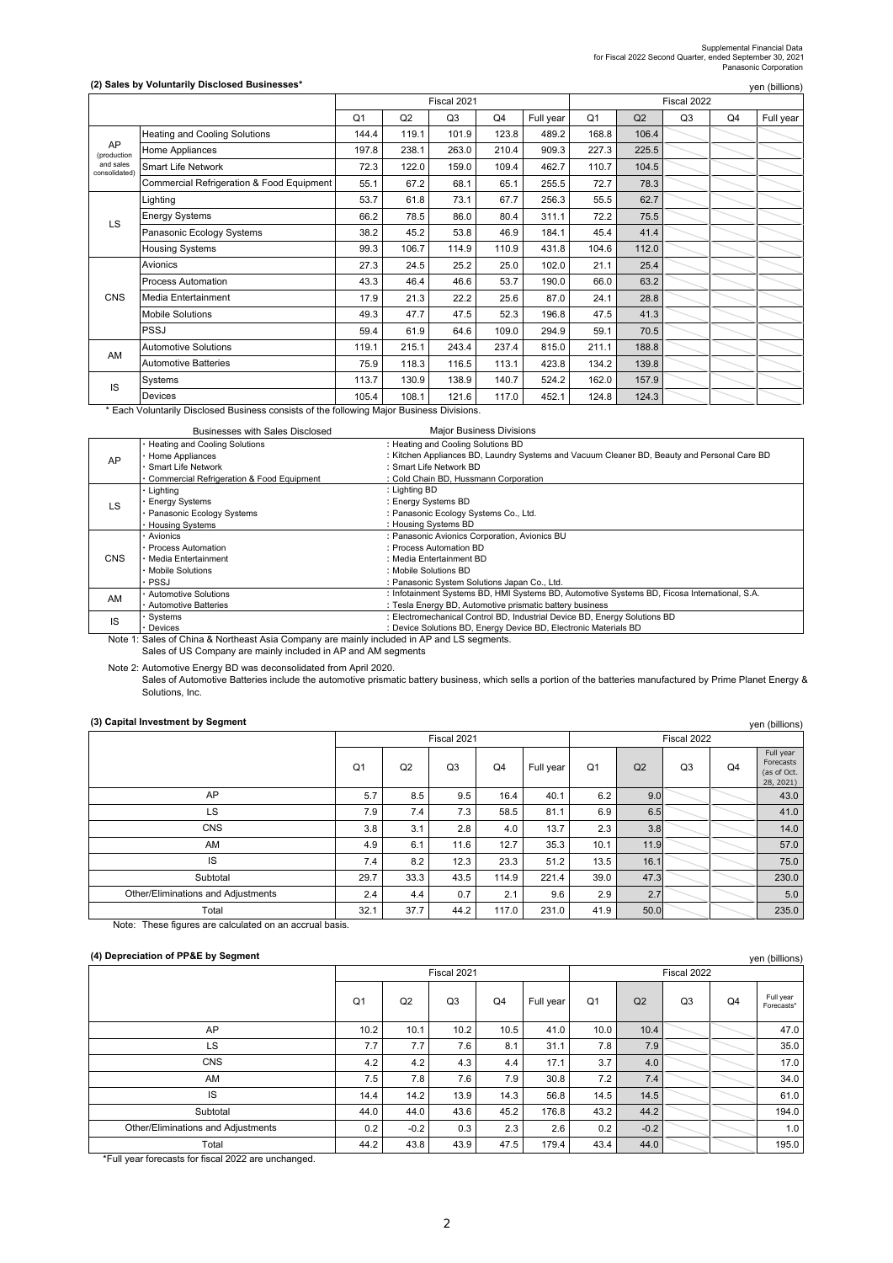# Supplemental Financial Data for Fiscal 2022 Second Quarter, ended September 30, 2021 Panasonic Corporation

#### **(2) Sales by Voluntarily Disclosed Businesses\***

|                            | (2) Sales by Voluntarily Disclosed Businesses* |                |       |                |       |           |                |                |                |    | yen (billions) |
|----------------------------|------------------------------------------------|----------------|-------|----------------|-------|-----------|----------------|----------------|----------------|----|----------------|
|                            |                                                |                |       | Fiscal 2021    |       |           |                |                | Fiscal 2022    |    |                |
|                            |                                                | Q <sub>1</sub> | Q2    | Q <sub>3</sub> | Q4    | Full year | Q <sub>1</sub> | Q <sub>2</sub> | Q <sub>3</sub> | Q4 | Full year      |
|                            | <b>Heating and Cooling Solutions</b>           | 144.4          | 119.1 | 101.9          | 123.8 | 489.2     | 168.8          | 106.4          |                |    |                |
| AP<br>(production          | Home Appliances                                | 197.8          | 238.1 | 263.0          | 210.4 | 909.3     | 227.3          | 225.5          |                |    |                |
| and sales<br>consolidated) | <b>Smart Life Network</b>                      | 72.3           | 122.0 | 159.0          | 109.4 | 462.7     | 110.7          | 104.5          |                |    |                |
|                            | Commercial Refrigeration & Food Equipment      | 55.1           | 67.2  | 68.1           | 65.1  | 255.5     | 72.7           | 78.3           |                |    |                |
|                            | Lighting                                       | 53.7           | 61.8  | 73.1           | 67.7  | 256.3     | 55.5           | 62.7           |                |    |                |
| LS                         | <b>Energy Systems</b>                          | 66.2           | 78.5  | 86.0           | 80.4  | 311.1     | 72.2           | 75.5           |                |    |                |
|                            | Panasonic Ecology Systems                      | 38.2           | 45.2  | 53.8           | 46.9  | 184.1     | 45.4           | 41.4           |                |    |                |
|                            | <b>Housing Systems</b>                         | 99.3           | 106.7 | 114.9          | 110.9 | 431.8     | 104.6          | 112.0          |                |    |                |
|                            | Avionics                                       | 27.3           | 24.5  | 25.2           | 25.0  | 102.0     | 21.1           | 25.4           |                |    |                |
|                            | <b>Process Automation</b>                      | 43.3           | 46.4  | 46.6           | 53.7  | 190.0     | 66.0           | 63.2           |                |    |                |
| <b>CNS</b>                 | Media Entertainment                            | 17.9           | 21.3  | 22.2           | 25.6  | 87.0      | 24.1           | 28.8           |                |    |                |
|                            | <b>Mobile Solutions</b>                        | 49.3           | 47.7  | 47.5           | 52.3  | 196.8     | 47.5           | 41.3           |                |    |                |
|                            | <b>PSSJ</b>                                    | 59.4           | 61.9  | 64.6           | 109.0 | 294.9     | 59.1           | 70.5           |                |    |                |
| AM                         | <b>Automotive Solutions</b>                    | 119.1          | 215.1 | 243.4          | 237.4 | 815.0     | 211.1          | 188.8          |                |    |                |
|                            | <b>Automotive Batteries</b>                    | 75.9           | 118.3 | 116.5          | 113.1 | 423.8     | 134.2          | 139.8          |                |    |                |
| IS                         | Systems                                        | 113.7          | 130.9 | 138.9          | 140.7 | 524.2     | 162.0          | 157.9          |                |    |                |
|                            | Devices                                        | 105.4          | 108.1 | 121.6          | 117.0 | 452.1     | 124.8          | 124.3          |                |    |                |

\* Each Voluntarily Disclosed Business consists of the following Major Business Divisions.

|            | <b>Businesses with Sales Disclosed</b>    | <b>Major Business Divisions</b>                                                              |
|------------|-------------------------------------------|----------------------------------------------------------------------------------------------|
|            | Heating and Cooling Solutions             | : Heating and Cooling Solutions BD                                                           |
| AP         | Home Appliances                           | : Kitchen Appliances BD, Laundry Systems and Vacuum Cleaner BD, Beauty and Personal Care BD  |
|            | <b>Smart Life Network</b>                 | : Smart Life Network BD                                                                      |
|            | Commercial Refrigeration & Food Equipment | : Cold Chain BD, Hussmann Corporation                                                        |
|            | Lighting                                  | : Lighting BD                                                                                |
| LS         | <b>Energy Systems</b>                     | : Energy Systems BD                                                                          |
|            | Panasonic Ecology Systems                 | : Panasonic Ecology Systems Co., Ltd.                                                        |
|            | <b>Housing Systems</b>                    | : Housing Systems BD                                                                         |
|            | Avionics                                  | : Panasonic Avionics Corporation, Avionics BU                                                |
|            | Process Automation                        | : Process Automation BD                                                                      |
| <b>CNS</b> | · Media Entertainment                     | : Media Entertainment BD                                                                     |
|            | <b>Mobile Solutions</b>                   | : Mobile Solutions BD                                                                        |
|            | <b>PSSJ</b>                               | : Panasonic System Solutions Japan Co., Ltd.                                                 |
| AM         | <b>Automotive Solutions</b>               | : Infotainment Systems BD, HMI Systems BD, Automotive Systems BD, Ficosa International, S.A. |
|            | <b>Automotive Batteries</b>               | : Tesla Energy BD, Automotive prismatic battery business                                     |
| IS         | Systems                                   | : Electromechanical Control BD, Industrial Device BD, Energy Solutions BD                    |
|            | Devices                                   | : Device Solutions BD, Energy Device BD, Electronic Materials BD                             |

Note 1: Sales of China & Northeast Asia Company are mainly included in AP and LS segments. Sales of US Company are mainly included in AP and AM segments

Note 2: Automotive Energy BD was deconsolidated from April 2020.<br>Sales of Automotive Batteries include the automotive prismatic battery business, which sells a portion of the batteries manufactured by Prime Planet Energy &

## **(3) Capital Investment by Segment**

| (3) Capital Investment by Segment  |                |      |                |                |           |                |      |                |    | yen (billions)                                     |  |
|------------------------------------|----------------|------|----------------|----------------|-----------|----------------|------|----------------|----|----------------------------------------------------|--|
|                                    |                |      | Fiscal 2021    |                |           | Fiscal 2022    |      |                |    |                                                    |  |
|                                    | Q <sub>1</sub> | Q2   | Q <sub>3</sub> | Q <sub>4</sub> | Full year | Q <sub>1</sub> | Q2   | Q <sub>3</sub> | Q4 | Full year<br>Forecasts<br>(as of Oct.<br>28, 2021) |  |
| AP                                 | 5.7            | 8.5  | 9.5            | 16.4           | 40.1      | 6.2            | 9.0  |                |    | 43.0                                               |  |
| LS                                 | 7.9            | 7.4  | 7.3            | 58.5           | 81.1      | 6.9            | 6.5  |                |    | 41.0                                               |  |
| <b>CNS</b>                         | 3.8            | 3.1  | 2.8            | 4.0            | 13.7      | 2.3            | 3.8  |                |    | 14.0                                               |  |
| AM                                 | 4.9            | 6.1  | 11.6           | 12.7           | 35.3      | 10.1           | 11.9 |                |    | 57.0                                               |  |
| IS                                 | 7.4            | 8.2  | 12.3           | 23.3           | 51.2      | 13.5           | 16.1 |                |    | 75.0                                               |  |
| Subtotal                           | 29.7           | 33.3 | 43.5           | 114.9          | 221.4     | 39.0           | 47.3 |                |    | 230.0                                              |  |
| Other/Eliminations and Adjustments | 2.4            | 4.4  | 0.7            | 2.1            | 9.6       | 2.9            | 2.7  |                |    | 5.0                                                |  |
| Total                              | 32.1           | 37.7 | 44.2           | 117.0          | 231.0     | 41.9           | 50.0 |                |    | 235.0                                              |  |

Note: These figures are calculated on an accrual basis.

#### **(4) Depreciation of PP&E by Segment**

| (4) Depreciation of PP&E by Segment |                |        |                |                |           |                |        |                |                | yen (billions)          |  |
|-------------------------------------|----------------|--------|----------------|----------------|-----------|----------------|--------|----------------|----------------|-------------------------|--|
|                                     |                |        | Fiscal 2021    |                |           | Fiscal 2022    |        |                |                |                         |  |
|                                     | Q <sub>1</sub> | Q2     | Q <sub>3</sub> | Q <sub>4</sub> | Full year | Q <sub>1</sub> | Q2     | Q <sub>3</sub> | Q <sub>4</sub> | Full year<br>Forecasts* |  |
| AP                                  | 10.2           | 10.1   | 10.2           | 10.5           | 41.0      | 10.0           | 10.4   |                |                | 47.0                    |  |
| LS                                  | 7.7            | 7.7    | 7.6            | 8.1            | 31.1      | 7.8            | 7.9    |                |                | 35.0                    |  |
| <b>CNS</b>                          | 4.2            | 4.2    | 4.3            | 4.4            | 17.1      | 3.7            | 4.0    |                |                | 17.0                    |  |
| AM                                  | 7.5            | 7.8    | 7.6            | 7.9            | 30.8      | 7.2            | 7.4    |                |                | 34.0                    |  |
| IS                                  | 14.4           | 14.2   | 13.9           | 14.3           | 56.8      | 14.5           | 14.5   |                |                | 61.0                    |  |
| Subtotal                            | 44.0           | 44.0   | 43.6           | 45.2           | 176.8     | 43.2           | 44.2   |                |                | 194.0                   |  |
| Other/Eliminations and Adjustments  | 0.2            | $-0.2$ | 0.3            | 2.3            | 2.6       | 0.2            | $-0.2$ |                |                | 1.0                     |  |
| Total                               | 44.2           | 43.8   | 43.9           | 47.5           | 179.4     | 43.4           | 44.0   |                |                | 195.0                   |  |

\*Full year forecasts for fiscal 2022 are unchanged.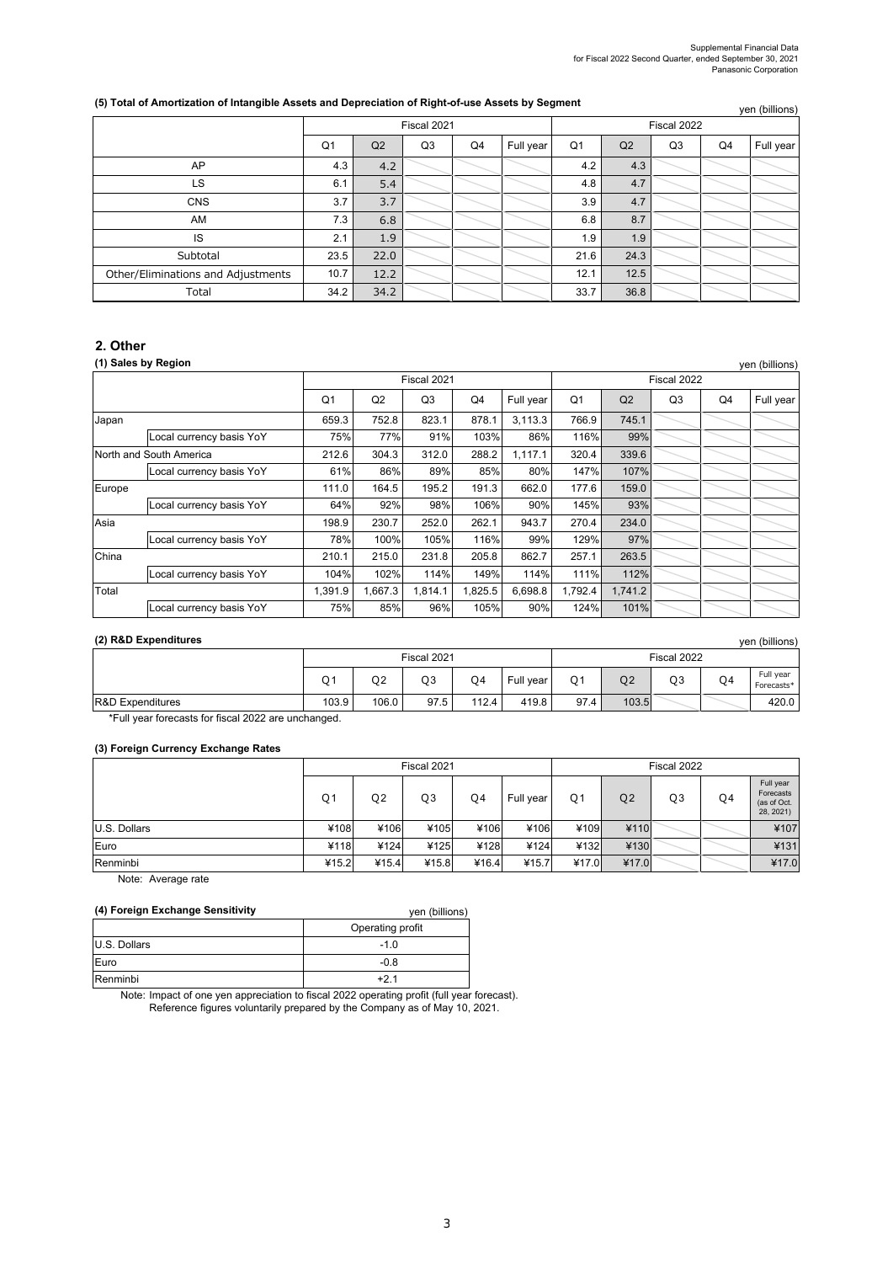## (5) Total of Amortization of Intangible Assets and Depreciation of Right-of-use Assets by Segment

|                                    |      |      | Fiscal 2021    |    |           | yeri (pililoris)<br>Fiscal 2022 |      |    |    |           |  |
|------------------------------------|------|------|----------------|----|-----------|---------------------------------|------|----|----|-----------|--|
|                                    | Q1   | Q2   | Q <sub>3</sub> | Q4 | Full year | Q1                              | Q2   | Q3 | Q4 | Full year |  |
| AP                                 | 4.3  | 4.2  |                |    |           | 4.2                             | 4.3  |    |    |           |  |
| LS                                 | 6.1  | 5.4  |                |    |           | 4.8                             | 4.7  |    |    |           |  |
| <b>CNS</b>                         | 3.7  | 3.7  |                |    |           | 3.9                             | 4.7  |    |    |           |  |
| AM                                 | 7.3  | 6.8  |                |    |           | 6.8                             | 8.7  |    |    |           |  |
| IS                                 | 2.1  | 1.9  |                |    |           | 1.9                             | 1.9  |    |    |           |  |
| Subtotal                           | 23.5 | 22.0 |                |    |           | 21.6                            | 24.3 |    |    |           |  |
| Other/Eliminations and Adjustments | 10.7 | 12.2 |                |    |           | 12.1                            | 12.5 |    |    |           |  |
| Total                              | 34.2 | 34.2 |                |    |           | 33.7                            | 36.8 |    |    |           |  |

## **2. Other**

## **(1) Sales by Region**

|        | (1) Sales by Region<br>yen (billions) |         |                |             |         |           |                |         |    |    |           |  |  |  |
|--------|---------------------------------------|---------|----------------|-------------|---------|-----------|----------------|---------|----|----|-----------|--|--|--|
|        |                                       |         |                | Fiscal 2021 |         |           | Fiscal 2022    |         |    |    |           |  |  |  |
|        |                                       | Q1      | Q <sub>2</sub> | Q3          | Q4      | Full year | Q <sub>1</sub> | Q2      | Q3 | Q4 | Full year |  |  |  |
| Japan  |                                       | 659.3   | 752.8          | 823.1       | 878.1   | 3.113.3   | 766.9          | 745.1   |    |    |           |  |  |  |
|        | Local currency basis YoY              | 75%     | 77%            | 91%         | 103%    | 86%       | 116%           | 99%     |    |    |           |  |  |  |
|        | North and South America               | 212.6   | 304.3          | 312.0       | 288.2   | 1,117.1   | 320.4          | 339.6   |    |    |           |  |  |  |
|        | Local currency basis YoY              | 61%     | 86%            | 89%         | 85%     | 80%       | 147%           | 107%    |    |    |           |  |  |  |
| Europe |                                       | 111.0   | 164.5          | 195.2       | 191.3   | 662.0     | 177.6          | 159.0   |    |    |           |  |  |  |
|        | Local currency basis YoY              | 64%     | 92%            | 98%         | 106%    | 90%       | 145%           | 93%     |    |    |           |  |  |  |
| Asia   |                                       | 198.9   | 230.7          | 252.0       | 262.1   | 943.7     | 270.4          | 234.0   |    |    |           |  |  |  |
|        | Local currency basis YoY              | 78%     | 100%           | 105%        | 116%    | 99%       | 129%           | 97%     |    |    |           |  |  |  |
| China  |                                       | 210.1   | 215.0          | 231.8       | 205.8   | 862.7     | 257.1          | 263.5   |    |    |           |  |  |  |
|        | Local currency basis YoY              | 104%    | 102%           | 114%        | 149%    | 114%      | 111%           | 112%    |    |    |           |  |  |  |
| Total  |                                       | 1.391.9 | 1,667.3        | 1.814.1     | 1,825.5 | 6.698.8   | 1,792.4        | 1.741.2 |    |    |           |  |  |  |
|        | Local currency basis YoY              | 75%     | 85%            | 96%         | 105%    | 90%       | 124%           | 101%    |    |    |           |  |  |  |

### **(2) R&D Expenditures**

| (2) R&D Expenditures<br>ven (billions) |                |       |             |           |           |             |                |                |                |                         |  |
|----------------------------------------|----------------|-------|-------------|-----------|-----------|-------------|----------------|----------------|----------------|-------------------------|--|
|                                        |                |       | Fiscal 2021 |           |           | Fiscal 2022 |                |                |                |                         |  |
|                                        | O <sub>1</sub> | Q2    | Q3          | <b>O4</b> | Full vear | $\bigcap$   | Q <sub>2</sub> | Q <sub>3</sub> | O <sub>4</sub> | Full vear<br>Forecasts* |  |
| <b>R&amp;D Expenditures</b>            | 103.9          | 106.0 | 97.5        | 112.4     | 419.8     | 97.4        | 103.5          |                |                | 420.0                   |  |

\*Full year forecasts for fiscal 2022 are unchanged.

## **(3) Foreign Currency Exchange Rates**

|              | Fiscal 2021 |                |       |       |           | Fiscal 2022    |                |                |    |                                                    |
|--------------|-------------|----------------|-------|-------|-----------|----------------|----------------|----------------|----|----------------------------------------------------|
|              | Q1          | Q <sub>2</sub> | Q3    | Q4    | Full year | Q <sub>1</sub> | Q <sub>2</sub> | Q <sub>3</sub> | Q4 | Full year<br>Forecasts<br>(as of Oct.<br>28, 2021) |
| U.S. Dollars | ¥108        | ¥106           | ¥105  | ¥106  | ¥106      | 4109           | ¥110           |                |    | ¥107                                               |
| Euro         | ¥118        | ¥124           | ¥125  | ¥128  | ¥124      | 4132           | ¥130           |                |    | ¥131                                               |
| Renminbi     | ¥15.2       | ¥15.4          | ¥15.8 | ¥16.4 | ¥15.7     | 417.0          | ¥17.0          |                |    | ¥17.0                                              |

Note: Average rate

## **(4) Foreign Exchange Sensitivity**

| (4) Foreign Exchange Sensitivity | yen (billions)   |
|----------------------------------|------------------|
|                                  | Operating profit |
| U.S. Dollars                     | $-1.0$           |
| Euro                             | $-0.8$           |
| Renminbi                         | +21              |

Note: Impact of one yen appreciation to fiscal 2022 operating profit (full year forecast). Reference figures voluntarily prepared by the Company as of May 10, 2021.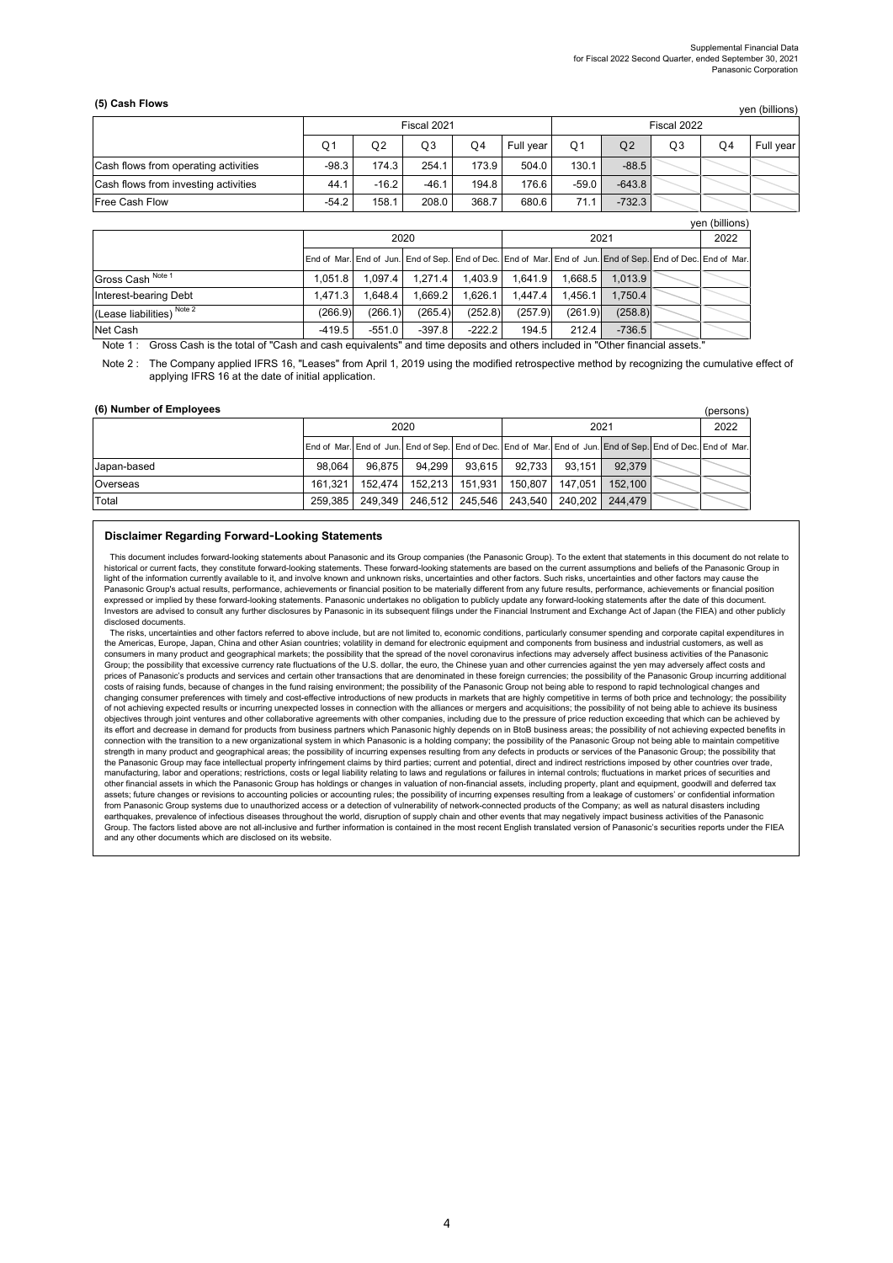#### **(5) Cash Flows**

(persons)

|                                      |         |         | Fiscal 2021 |                |           | Fiscal 2022 |                |                |    |           |
|--------------------------------------|---------|---------|-------------|----------------|-----------|-------------|----------------|----------------|----|-----------|
|                                      | Ο1      | O2      | O3          | O <sub>4</sub> | Full year | Ο1          | Q <sub>2</sub> | Q <sub>3</sub> | O4 | Full vear |
| Cash flows from operating activities | $-98.3$ | 174.3   | 254.1       | 173.9          | 504.0     | 130.1       | $-88.5$        |                |    |           |
| Cash flows from investing activities | 44.1    | $-16.2$ | $-46.1$     | 194.8          | 176.6     | $-59.0$     | $-643.8$       |                |    |           |
| <b>Free Cash Flow</b>                | $-54.2$ | 158.1   | 208.0       | 368.7          | 680.6     | 71.1        | $-732.3$       |                |    |           |

|                                       |                             |          |          |          |         |         |          |  | yen (billions)                                                                                              |
|---------------------------------------|-----------------------------|----------|----------|----------|---------|---------|----------|--|-------------------------------------------------------------------------------------------------------------|
|                                       |                             | 2020     |          |          |         | 2022    |          |  |                                                                                                             |
|                                       |                             |          |          |          |         |         |          |  | End of Mar. End of Jun. End of Sep. End of Dec. End of Mar. End of Jun. End of Sep. End of Dec. End of Mar. |
| Gross Cash Note 1                     | 1.051.8                     | 1.097.4  | 1.271.4  | 1.403.9  | 1.641.9 | 1.668.5 | 1.013.9  |  |                                                                                                             |
| Interest-bearing Debt                 | 1.471.3                     | 1.648.4  | 1.669.2  | 1.626.1  | 1.447.4 | 1.456.1 | 1.750.4  |  |                                                                                                             |
| (Lease liabilities) <sup>Note 2</sup> | (266.9)                     | (266.1)  | (265.4)  | (252.8)  | (257.9) | (261.9) | (258.8)  |  |                                                                                                             |
| Net Cash                              | $-419.5$                    | $-551.0$ | $-397.8$ | $-222.2$ | 194.5   | 212.4   | $-736.5$ |  |                                                                                                             |
| $\sim$<br>.<br>_.<br>$\sim$           | $\sim$ $\sim$ $\sim$ $\sim$ | .        | $\cdots$ | $\cdots$ |         |         |          |  |                                                                                                             |

Note 1 : Gross Cash is the total of "Cash and cash equivalents" and time deposits and others included in "Other financial assets."

Note 2 : The Company applied IFRS 16, "Leases" from April 1, 2019 using the modified retrospective method by recognizing the cumulative effect of applying IFRS 16 at the date of initial application.

#### **(6) Number of Employees**

|             |         | 2020                                                      |         |        |                 | 2022      |         |  |                                                                                                             |  |  |  |  |
|-------------|---------|-----------------------------------------------------------|---------|--------|-----------------|-----------|---------|--|-------------------------------------------------------------------------------------------------------------|--|--|--|--|
|             |         |                                                           |         |        |                 |           |         |  | End of Mar. End of Jun. End of Sep. End of Dec. End of Mar. End of Jun. End of Sep. End of Dec. End of Mar. |  |  |  |  |
| Japan-based | 98.064  | 96.875                                                    | 94.299  | 93.615 | 92.733          | 93.1511   | 92.379  |  |                                                                                                             |  |  |  |  |
| Overseas    | 161.321 | 152.474                                                   | 152.213 |        | 151.931 150.807 | 147.051 l | 152,100 |  |                                                                                                             |  |  |  |  |
| Total       |         | 259,385   249,349   246,512   245,546   243,540   240,202 |         |        |                 |           | 244,479 |  |                                                                                                             |  |  |  |  |

#### **Disclaimer Regarding Forward-Looking Statements**

This document includes forward-looking statements about Panasonic and its Group companies (the Panasonic Group). To the extent that statements in this document do not relate to historical or current facts, they constitute forward-looking statements. These forward-looking statements are based on the current assumptions and beliefs of the Panasonic Group in light of the information currently available to it, and involve known and unknown risks, uncertainties and other factors. Such risks, uncertainties and other factors may cause the Panasonic Group's actual results, performance, achievements or financial position to be materially different from any future results, performance, achievements or financial position expressed or implied by these forward-looking statements. Panasonic undertakes no obligation to publicly update any forward-looking statements after the date of this document. Investors are advised to consult any further disclosures by Panasonic in its subsequent filings under the Financial Instrument and Exchange Act of Japan (the FIEA) and other publicly disclosed documents.

The risks, uncertainties and other factors referred to above include, but are not limited to, economic conditions, particularly consumer spending and corporate capital expenditures in the Americas, Europe, Japan, China and other Asian countries; volatility in demand for electronic equipment and components from business and industrial customers, as well as consumers in many product and geographical markets; the possibility that the spread of the novel coronavirus infections may adversely affect business activities of the Panasonic Group; the possibility that excessive currency rate fluctuations of the U.S. dollar, the euro, the Chinese yuan and other currencies against the yen may adversely affect costs and prices of Panasonic's products and services and certain other transactions that are denominated in these foreign currencies; the possibility of the Panasonic Group incurring additional<br>costs of raising funds, because of ch changing consumer preferences with timely and cost-effective introductions of new products in markets that are highly competitive in terms of both price and technology; the possibility of not achieving expected results or incurring unexpected losses in connection with the alliances or mergers and acquisitions; the possibility of not being able to achieve its business<br>objectives through joint ventures and its effort and decrease in demand for products from business partners which Panasonic highly depends on in BtoB business areas; the possibility of not achieving expected benefits in<br>connection with the transition to a new connection with the transition to a new organizational system in which Panasonic is a holding company; the possibility of the Panasonic Group not being able to maintain competitive of the Panasonic Group not being able to strength in many product and geographical areas; the possibility of incurring expenses resulting from any defects in products or services of the Panasonic Group; the possibility that<br>the Panasonic Group may face intellectu manufacturing, labor and operations; restrictions, costs or legal liability relating to laws and regulations or failures in internal controls; fluctuations in market prices of securities and<br>other financial assets in which assets; future changes or revisions to accounting policies or accounting rules; the possibility of incurring expenses resulting from a leakage of customers' or confidential information from Panasonic Group systems due to unauthorized access or a detection of vulnerability of network-connected products of the Company; as well as natural disasters including<br>earthquakes, prevalence of infectious diseases t and any other documents which are disclosed on its website.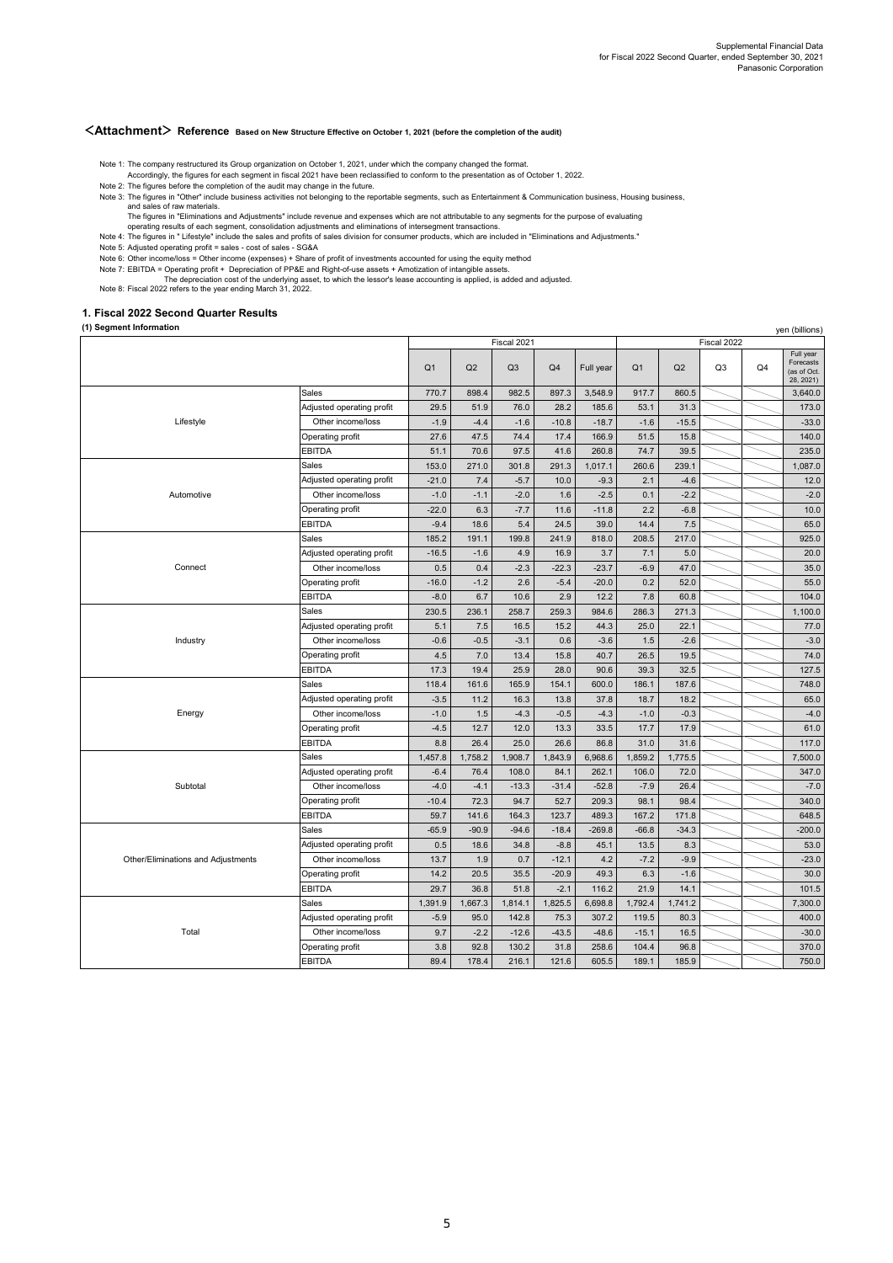yen (billions)

#### **<Attachment> Reference Based on New Structure Effective on October 1, 2021 (before the completion of the audit)**

Note 1: The company restructured its Group organization on October 1, 2021, under which the company changed the format.

- Accordingly, the figures for each segment in fiscal 2021 have been reclassified to conform to the presentation as of October 1, 2022.
- Note 2: The figures before the completion of the audit may change in the future.
- Note 3: The figures in "Other" include business activities not belonging to the reportable segments, such as Entertainment & Communication business, Housing business,<br>and sales of raw materials.
	-
	- The figures in "Eliminations and Adjustments" include revenue and expenses which are not attributable to any segments for the purpose of evaluating<br>operating results of each segment, consolidation adjustments and eliminati
- Note 4:
- 
- Note 5: Note 6: Adjusted operating profit = sales cost of sales SG&A Other income/loss = Other income (expenses) + Share of profit of investments accounted for using the equity method
- Note 7: EBITDA = Operating profit + Depreciation of PP&E and Right-of-use assets + Amotization of intangible assets.<br>The depreciation cost of the underlying asset, to which the lessor's lease accounting is applied, is added and a
- Note 8: Fiscal 2022 refers to the year ending March 31, 2022.

#### **1. Fiscal 2022 Second Quarter Results**

#### **(1) Segment Information**

|                                    |                           | Fiscal 2021    |         |         |         |           | Fiscal 2022    |         |    |                |                                                    |
|------------------------------------|---------------------------|----------------|---------|---------|---------|-----------|----------------|---------|----|----------------|----------------------------------------------------|
|                                    |                           | Q <sub>1</sub> | Q2      | Q3      | Q4      | Full year | Q <sub>1</sub> | Q2      | Q3 | Q <sub>4</sub> | Full year<br>Forecasts<br>(as of Oct.<br>28, 2021) |
|                                    | Sales                     | 770.7          | 898.4   | 982.5   | 897.3   | 3,548.9   | 917.7          | 860.5   |    |                | 3,640.0                                            |
|                                    | Adjusted operating profit | 29.5           | 51.9    | 76.0    | 28.2    | 185.6     | 53.1           | 31.3    |    |                | 173.0                                              |
| Lifestyle                          | Other income/loss         | $-1.9$         | $-4.4$  | $-1.6$  | $-10.8$ | $-18.7$   | $-1.6$         | $-15.5$ |    |                | $-33.0$                                            |
|                                    | Operating profit          | 27.6           | 47.5    | 74.4    | 17.4    | 166.9     | 51.5           | 15.8    |    |                | 140.0                                              |
|                                    | EBITDA                    | 51.1           | 70.6    | 97.5    | 41.6    | 260.8     | 74.7           | 39.5    |    |                | 235.0                                              |
|                                    | Sales                     | 153.0          | 271.0   | 301.8   | 291.3   | 1,017.1   | 260.6          | 239.1   |    |                | 1,087.0                                            |
|                                    | Adjusted operating profit | $-21.0$        | 7.4     | $-5.7$  | 10.0    | $-9.3$    | 2.1            | $-4.6$  |    |                | 12.0                                               |
| Automotive                         | Other income/loss         | $-1.0$         | $-1.1$  | $-2.0$  | 1.6     | $-2.5$    | 0.1            | $-2.2$  |    |                | $-2.0$                                             |
|                                    | Operating profit          | $-22.0$        | 6.3     | $-7.7$  | 11.6    | $-11.8$   | 2.2            | $-6.8$  |    |                | 10.0                                               |
|                                    | EBITDA                    | $-9.4$         | 18.6    | 5.4     | 24.5    | 39.0      | 14.4           | 7.5     |    |                | 65.0                                               |
|                                    | Sales                     | 185.2          | 191.1   | 199.8   | 241.9   | 818.0     | 208.5          | 217.0   |    |                | 925.0                                              |
|                                    | Adjusted operating profit | $-16.5$        | $-1.6$  | 4.9     | 16.9    | 3.7       | 7.1            | 5.0     |    |                | 20.0                                               |
| Connect                            | Other income/loss         | 0.5            | 0.4     | $-2.3$  | $-22.3$ | $-23.7$   | $-6.9$         | 47.0    |    |                | 35.0                                               |
|                                    | Operating profit          | $-16.0$        | $-1.2$  | 2.6     | $-5.4$  | $-20.0$   | 0.2            | 52.0    |    |                | 55.0                                               |
|                                    | EBITDA                    | $-8.0$         | 6.7     | 10.6    | 2.9     | 12.2      | 7.8            | 60.8    |    |                | 104.0                                              |
|                                    | Sales                     | 230.5          | 236.1   | 258.7   | 259.3   | 984.6     | 286.3          | 271.3   |    |                | 1,100.0                                            |
|                                    | Adjusted operating profit | 5.1            | 7.5     | 16.5    | 15.2    | 44.3      | 25.0           | 22.1    |    |                | 77.0                                               |
| Industry                           | Other income/loss         | $-0.6$         | $-0.5$  | $-3.1$  | 0.6     | $-3.6$    | 1.5            | $-2.6$  |    |                | $-3.0$                                             |
|                                    | Operating profit          | 4.5            | 7.0     | 13.4    | 15.8    | 40.7      | 26.5           | 19.5    |    |                | 74.0                                               |
|                                    | EBITDA                    | 17.3           | 19.4    | 25.9    | 28.0    | 90.6      | 39.3           | 32.5    |    |                | 127.5                                              |
|                                    | Sales                     | 118.4          | 161.6   | 165.9   | 154.1   | 600.0     | 186.1          | 187.6   |    |                | 748.0                                              |
|                                    | Adjusted operating profit | $-3.5$         | 11.2    | 16.3    | 13.8    | 37.8      | 18.7           | 18.2    |    |                | 65.0                                               |
| Energy                             | Other income/loss         | $-1.0$         | 1.5     | $-4.3$  | $-0.5$  | $-4.3$    | $-1.0$         | $-0.3$  |    |                | $-4.0$                                             |
|                                    | Operating profit          | $-4.5$         | 12.7    | 12.0    | 13.3    | 33.5      | 17.7           | 17.9    |    |                | 61.0                                               |
|                                    | EBITDA                    | 8.8            | 26.4    | 25.0    | 26.6    | 86.8      | 31.0           | 31.6    |    |                | 117.0                                              |
|                                    | Sales                     | 1,457.8        | 1,758.2 | 1,908.7 | 1,843.9 | 6,968.6   | 1,859.2        | 1,775.5 |    |                | 7,500.0                                            |
|                                    | Adjusted operating profit | $-6.4$         | 76.4    | 108.0   | 84.1    | 262.1     | 106.0          | 72.0    |    |                | 347.0                                              |
| Subtotal                           | Other income/loss         | $-4.0$         | $-4.1$  | $-13.3$ | $-31.4$ | $-52.8$   | $-7.9$         | 26.4    |    |                | $-7.0$                                             |
|                                    | Operating profit          | $-10.4$        | 72.3    | 94.7    | 52.7    | 209.3     | 98.1           | 98.4    |    |                | 340.0                                              |
|                                    | EBITDA                    | 59.7           | 141.6   | 164.3   | 123.7   | 489.3     | 167.2          | 171.8   |    |                | 648.5                                              |
|                                    | Sales                     | $-65.9$        | $-90.9$ | $-94.6$ | $-18.4$ | $-269.8$  | $-66.8$        | $-34.3$ |    |                | $-200.0$                                           |
|                                    | Adjusted operating profit | 0.5            | 18.6    | 34.8    | $-8.8$  | 45.1      | 13.5           | 8.3     |    |                | 53.0                                               |
| Other/Eliminations and Adjustments | Other income/loss         | 13.7           | 1.9     | 0.7     | $-12.1$ | 4.2       | $-7.2$         | $-9.9$  |    |                | $-23.0$                                            |
|                                    | Operating profit          | 14.2           | 20.5    | 35.5    | $-20.9$ | 49.3      | 6.3            | $-1.6$  |    |                | 30.0                                               |
|                                    | EBITDA                    | 29.7           | 36.8    | 51.8    | $-2.1$  | 116.2     | 21.9           | 14.1    |    |                | 101.5                                              |
|                                    | Sales                     | 1,391.9        | 1,667.3 | 1,814.1 | 1,825.5 | 6,698.8   | 1,792.4        | 1,741.2 |    |                | 7,300.0                                            |
|                                    | Adjusted operating profit | $-5.9$         | 95.0    | 142.8   | 75.3    | 307.2     | 119.5          | 80.3    |    |                | 400.0                                              |
| Total                              | Other income/loss         | 9.7            | $-2.2$  | $-12.6$ | $-43.5$ | $-48.6$   | $-15.1$        | 16.5    |    |                | $-30.0$                                            |
|                                    | Operating profit          | 3.8            | 92.8    | 130.2   | 31.8    | 258.6     | 104.4          | 96.8    |    |                | 370.0                                              |
|                                    | EBITDA                    | 89.4           | 178.4   | 216.1   | 121.6   | 605.5     | 189.1          | 185.9   |    |                | 750.0                                              |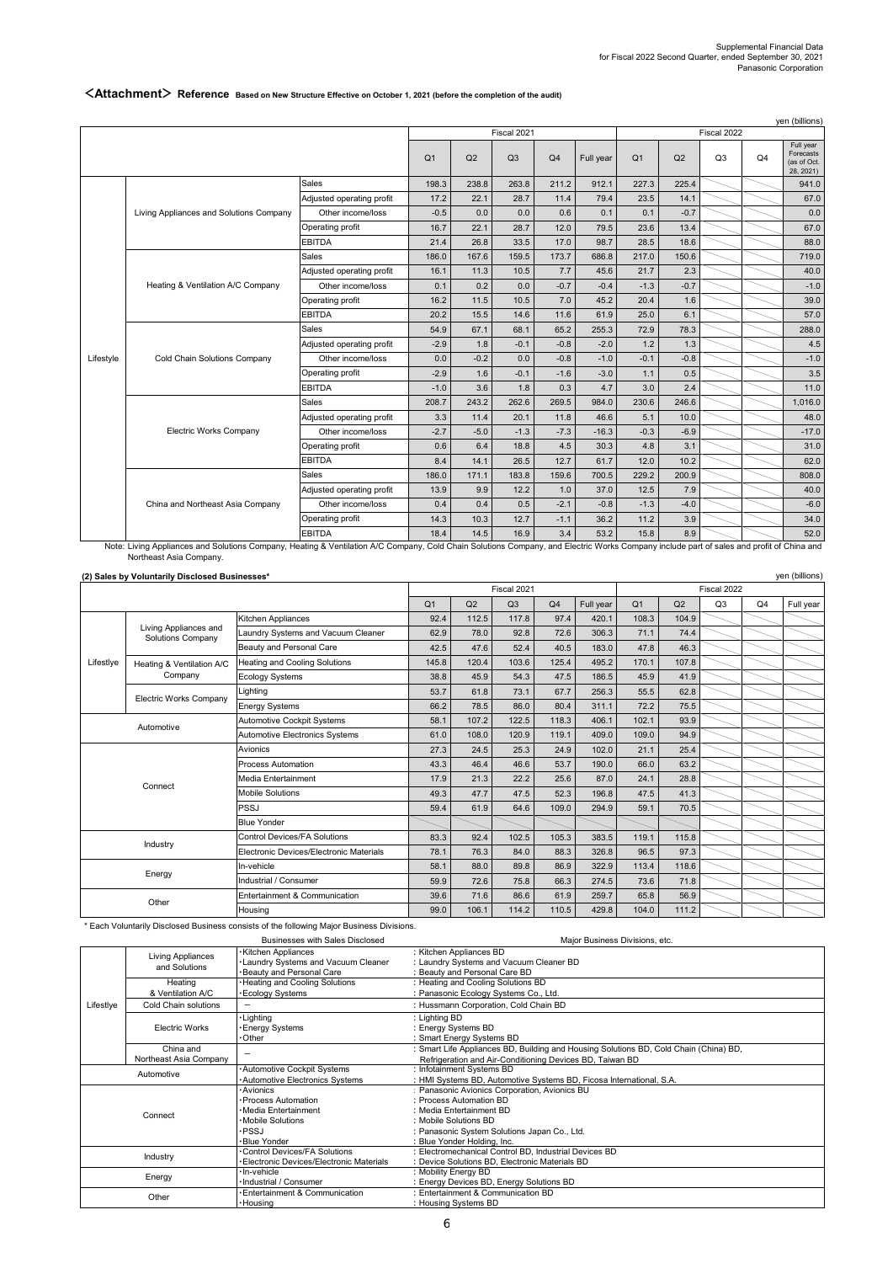yen (billions)

#### Q1 | Q2 | Q3 | Q4 | Full year | Q1 | Q2 | Q3 | Q4 **Full year**<br>Forecasts  $For 6$ (as of Oct. 28, 2021) 198.3 238.8 263.8 211.2 912.1 227.3 225.4 941.0 Adjusted operating profit 17.2 22.1 28.7 11.4 79.4 23.5 14.1 67.0 Other income/loss -0.5 0.0 0.0 0.6 0.1 0.1 -0.7 0.0 16.7 22.1 28.7 12.0 79.5 23.6 13.4  $\sim$  67.0 EBITDA | 21.4 | 26.8 | 33.5 | 17.0 | 98.7 | 28.5 | 18.6 | | | 88.0 186.0 167.6 159.5 173.7 686.8 217.0 150.6 1 Adjusted operating profit 16.1 11.3 10.5 7.7 45.6 21.7 2.3 40.0 Other income/loss 0.1 0.2 0.0 -0.7 -0.4 -1.3 -0.7 -1.0 16.2 11.5 10.5 7.0 45.2 20.4 1.6  $\sim$  39.0 EBITDA 20.2 15.5 14.6 11.6 61.9 25.0 6.1  $54.9$  67.1 68.1 65.2 255.3 72.9 78.3 1 Adjusted operating profit 2.9 1.8 -0.1 -0.8 -2.0 1.2 1.3 -0.5 4.5 Other income/loss 0.0 -0.2 0.0 -0.8 -1.0 -0.1 -0.8 -1.0  $-2.9$  1.6  $-0.1$   $-1.6$   $-3.0$  1.1  $0.5$   $\sim$  3.5 EBITDA  $-1.0$  3.6 1.8 0.3 4.7 3.0 2.4 11.0 208.7 243.2 262.6 269.5 984.0 230.6 246.6 1,016.0 Adjusted operating profit 3.3 11.4 20.1 11.8 46.6 5.1 10.0 48.0 Other income/loss 2.7 -5.0 -1.3 -1.3 -16.3 -0.3 -6.9 -17.0 0.6 6.4 18.8 4.5 30.3 4.8 3.1  $8.4$  14.1 26.5 12.7 61.7 12.0 10.2 62.0 186.0 171.1 183.8 159.6 700.5 229.2 200.9 Adjusted operating profit 13.9 9.9 12.2 1.0 37.0 12.5 7.9 40.0 Other income/loss 0.4 0.4 0.5 -2.1 -0.8 -1.3 -4.0 14.3 10.3 12.7 -1.1 36.2 11.2 3.9  $\sim$  34.0 18.4 14.5 16.9 3.4 53.2 15.8 8.9 152.0 Fiscal 2022 Sales Operating profit Sales Operating profit Sales Operating profit EBITDA Fiscal 2021 Living Appliances and Solutions Company Heating & Ventilation A/C Company Cold Chain Solutions Company Electric Works Company China and Northeast Asia Company Sales Operating profit Sales Operating profit EBITDA yen (billions) Lifestyle

## **<Attachment> Reference Based on New Structure Effective on October 1, 2021 (before the completion of the audit)**

Note: Living Appliances and Solutions Company, Heating & Ventilation A/C Company, Cold Chain Solutions Company, and Electric Works Company include part of sales and profit of China and Northeast Asia Company.

| (2) Sales by Voluntarily Disclosed Businesses* |  |
|------------------------------------------------|--|

|            | $\sum$                                            |                                         |                |       | Fiscal 2021 |                |           | Fiscal 2022    |       |    |    |           |
|------------|---------------------------------------------------|-----------------------------------------|----------------|-------|-------------|----------------|-----------|----------------|-------|----|----|-----------|
|            |                                                   |                                         | Q <sub>1</sub> | Q2    | Q3          | Q <sub>4</sub> | Full year | Q <sub>1</sub> | Q2    | Q3 | Q4 | Full year |
|            |                                                   | Kitchen Appliances                      | 92.4           | 112.5 | 117.8       | 97.4           | 420.1     | 108.3          | 104.9 |    |    |           |
|            | Living Appliances and<br><b>Solutions Company</b> | Laundry Systems and Vacuum Cleaner      | 62.9           | 78.0  | 92.8        | 72.6           | 306.3     | 71.1           | 74.4  |    |    |           |
|            |                                                   | Beauty and Personal Care                | 42.5           | 47.6  | 52.4        | 40.5           | 183.0     | 47.8           | 46.3  |    |    |           |
| Lifestlye  | Heating & Ventilation A/C                         | Heating and Cooling Solutions           | 145.8          | 120.4 | 103.6       | 125.4          | 495.2     | 170.1          | 107.8 |    |    |           |
|            | Company                                           | <b>Ecology Systems</b>                  | 38.8           | 45.9  | 54.3        | 47.5           | 186.5     | 45.9           | 41.9  |    |    |           |
|            | <b>Electric Works Company</b>                     | Lighting                                | 53.7           | 61.8  | 73.1        | 67.7           | 256.3     | 55.5           | 62.8  |    |    |           |
|            |                                                   | <b>Energy Systems</b>                   | 66.2           | 78.5  | 86.0        | 80.4           | 311.1     | 72.2           | 75.5  |    |    |           |
| Automotive |                                                   | Automotive Cockpit Systems              | 58.1           | 107.2 | 122.5       | 118.3          | 406.1     | 102.1          | 93.9  |    |    |           |
|            |                                                   | Automotive Electronics Systems          | 61.0           | 108.0 | 120.9       | 119.1          | 409.0     | 109.0          | 94.9  |    |    |           |
|            |                                                   | Avionics                                | 27.3           | 24.5  | 25.3        | 24.9           | 102.0     | 21.1           | 25.4  |    |    |           |
|            |                                                   | Process Automation                      | 43.3           | 46.4  | 46.6        | 53.7           | 190.0     | 66.0           | 63.2  |    |    |           |
|            | Connect                                           | Media Entertainment                     | 17.9           | 21.3  | 22.2        | 25.6           | 87.0      | 24.1           | 28.8  |    |    |           |
|            |                                                   | <b>Mobile Solutions</b>                 | 49.3           | 47.7  | 47.5        | 52.3           | 196.8     | 47.5           | 41.3  |    |    |           |
|            |                                                   | <b>PSSJ</b>                             | 59.4           | 61.9  | 64.6        | 109.0          | 294.9     | 59.1           | 70.5  |    |    |           |
|            |                                                   | <b>Blue Yonder</b>                      |                |       |             |                |           |                |       |    |    |           |
|            | Industry                                          | <b>Control Devices/FA Solutions</b>     | 83.3           | 92.4  | 102.5       | 105.3          | 383.5     | 119.1          | 115.8 |    |    |           |
|            |                                                   | Electronic Devices/Electronic Materials | 78.1           | 76.3  | 84.0        | 88.3           | 326.8     | 96.5           | 97.3  |    |    |           |
|            | Energy                                            | In-vehicle                              | 58.1           | 88.0  | 89.8        | 86.9           | 322.9     | 113.4          | 118.6 |    |    |           |
|            |                                                   | Industrial / Consumer                   | 59.9           | 72.6  | 75.8        | 66.3           | 274.5     | 73.6           | 71.8  |    |    |           |
|            |                                                   | Entertainment & Communication           | 39.6           | 71.6  | 86.6        | 61.9           | 259.7     | 65.8           | 56.9  |    |    |           |
| Other      |                                                   | Housina                                 | 99.0           | 106.1 | 114.2       | 110.5          | 429.8     | 104.0          | 111.2 |    |    |           |

\* Each Voluntarily Disclosed Business consists of the following Major Business Divisions.

Businesses with Sales Disclosed

Major Business Divisions, etc.

| Living Appliances |                        | Kitchen Appliances                          | : Kitchen Appliances BD                                                               |
|-------------------|------------------------|---------------------------------------------|---------------------------------------------------------------------------------------|
|                   | and Solutions          | <b>. Laundry Systems and Vacuum Cleaner</b> | : Laundry Systems and Vacuum Cleaner BD                                               |
|                   |                        | Beauty and Personal Care                    | : Beauty and Personal Care BD                                                         |
|                   | Heating                | Heating and Cooling Solutions               | : Heating and Cooling Solutions BD                                                    |
|                   | & Ventilation A/C      | <b>Ecology Systems</b>                      | : Panasonic Ecology Systems Co., Ltd.                                                 |
| Lifestlye         | Cold Chain solutions   |                                             | : Hussmann Corporation, Cold Chain BD                                                 |
|                   |                        | Lighting                                    | : Lighting BD                                                                         |
|                   | <b>Electric Works</b>  | <b>Energy Systems</b>                       | : Energy Systems BD                                                                   |
|                   |                        | •Other                                      | : Smart Energy Systems BD                                                             |
|                   | China and              |                                             | : Smart Life Appliances BD, Building and Housing Solutions BD, Cold Chain (China) BD, |
|                   | Northeast Asia Company |                                             | Refrigeration and Air-Conditioning Devices BD, Taiwan BD                              |
| Automotive        |                        | Automotive Cockpit Systems                  | : Infotainment Systems BD                                                             |
|                   |                        | Automotive Electronics Systems              | : HMI Systems BD, Automotive Systems BD, Ficosa International, S.A.                   |
|                   |                        | · Avionics                                  | : Panasonic Avionics Corporation, Avionics BU                                         |
|                   |                        | · Process Automation                        | : Process Automation BD                                                               |
|                   | Connect                | ·Media Entertainment                        | : Media Entertainment BD                                                              |
|                   |                        | · Mobile Solutions                          | : Mobile Solutions BD                                                                 |
|                   |                        | ∙PSSJ                                       | : Panasonic System Solutions Japan Co., Ltd.                                          |
|                   |                        | ·Blue Yonder                                | : Blue Yonder Holding, Inc.                                                           |
|                   | Industry               | Control Devices/FA Solutions                | : Electromechanical Control BD, Industrial Devices BD                                 |
|                   |                        | · Electronic Devices/Electronic Materials   | : Device Solutions BD, Electronic Materials BD                                        |
|                   | Energy                 | · In-vehicle                                | : Mobility Energy BD                                                                  |
|                   |                        | · Industrial / Consumer                     | : Energy Devices BD, Energy Solutions BD                                              |
|                   | Other                  | Entertainment & Communication               | : Entertainment & Communication BD                                                    |
|                   |                        | · Housing                                   | : Housing Systems BD                                                                  |